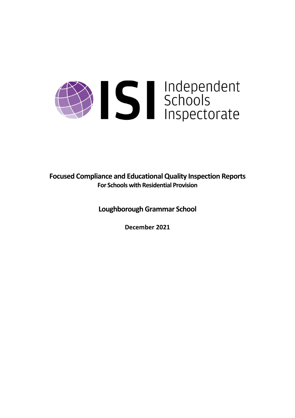# Summerschools<br>Schools<br>Inspectorate

**Focused Compliance and EducationalQuality Inspection Reports For Schools with Residential Provision**

**Loughborough Grammar School**

**December 2021**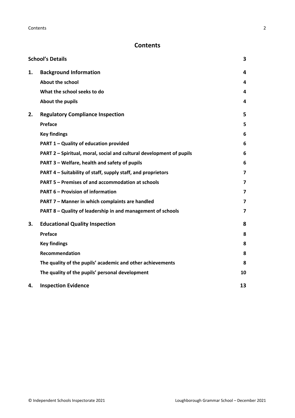# **Contents**

|    | <b>School's Details</b>                                              | 3  |
|----|----------------------------------------------------------------------|----|
| 1. | <b>Background Information</b>                                        | 4  |
|    | <b>About the school</b>                                              | 4  |
|    | What the school seeks to do                                          | 4  |
|    | About the pupils                                                     | 4  |
| 2. | <b>Regulatory Compliance Inspection</b>                              | 5  |
|    | Preface                                                              | 5  |
|    | <b>Key findings</b>                                                  | 6  |
|    | PART 1 - Quality of education provided                               | 6  |
|    | PART 2 - Spiritual, moral, social and cultural development of pupils | 6  |
|    | PART 3 - Welfare, health and safety of pupils                        | 6  |
|    | PART 4 – Suitability of staff, supply staff, and proprietors         | 7  |
|    | PART 5 - Premises of and accommodation at schools                    | 7  |
|    | <b>PART 6 - Provision of information</b>                             | 7  |
|    | PART 7 - Manner in which complaints are handled                      | 7  |
|    | PART 8 - Quality of leadership in and management of schools          | 7  |
| 3. | <b>Educational Quality Inspection</b>                                | 8  |
|    | Preface                                                              | 8  |
|    | <b>Key findings</b>                                                  | 8  |
|    | <b>Recommendation</b>                                                | 8  |
|    | The quality of the pupils' academic and other achievements           | 8  |
|    | The quality of the pupils' personal development                      | 10 |
| 4. | <b>Inspection Evidence</b>                                           | 13 |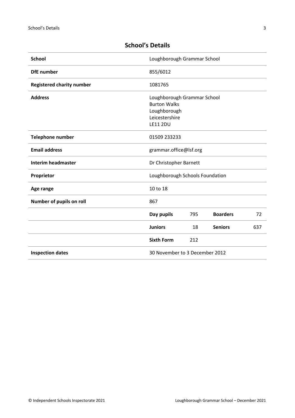| <b>School</b>                    | Loughborough Grammar School                                                                             |     |                 |     |
|----------------------------------|---------------------------------------------------------------------------------------------------------|-----|-----------------|-----|
| <b>DfE</b> number                | 855/6012                                                                                                |     |                 |     |
| <b>Registered charity number</b> | 1081765                                                                                                 |     |                 |     |
| <b>Address</b>                   | Loughborough Grammar School<br><b>Burton Walks</b><br>Loughborough<br>Leicestershire<br><b>LE11 2DU</b> |     |                 |     |
| <b>Telephone number</b>          | 01509 233233                                                                                            |     |                 |     |
| <b>Email address</b>             | grammar.office@lsf.org                                                                                  |     |                 |     |
| <b>Interim headmaster</b>        | Dr Christopher Barnett                                                                                  |     |                 |     |
| Proprietor                       | Loughborough Schools Foundation                                                                         |     |                 |     |
| Age range                        | 10 to 18                                                                                                |     |                 |     |
| Number of pupils on roll         | 867                                                                                                     |     |                 |     |
|                                  | Day pupils                                                                                              | 795 | <b>Boarders</b> | 72  |
|                                  | <b>Juniors</b>                                                                                          | 18  | <b>Seniors</b>  | 637 |
|                                  | <b>Sixth Form</b>                                                                                       | 212 |                 |     |
| <b>Inspection dates</b>          | 30 November to 3 December 2012                                                                          |     |                 |     |

## <span id="page-2-0"></span>**School's Details**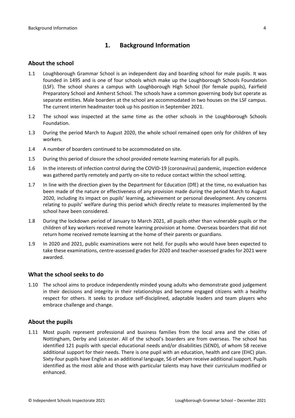## <span id="page-3-0"></span>**1. Background Information**

#### <span id="page-3-1"></span>**About the school**

- 1.1 Loughborough Grammar School is an independent day and boarding school for male pupils. It was founded in 1495 and is one of four schools which make up the Loughborough Schools Foundation (LSF). The school shares a campus with Loughborough High School (for female pupils), Fairfield Preparatory School and Amherst School. The schools have a common governing body but operate as separate entities. Male boarders at the school are accommodated in two houses on the LSF campus. The current interim headmaster took up his position in September 2021.
- 1.2 The school was inspected at the same time as the other schools in the Loughborough Schools Foundation.
- 1.3 During the period March to August 2020, the whole school remained open only for children of key workers.
- 1.4 A number of boarders continued to be accommodated on site.
- 1.5 During this period of closure the school provided remote learning materials for all pupils.
- 1.6 In the interests of infection control during the COVID-19 (coronavirus) pandemic, inspection evidence was gathered partly remotely and partly on-site to reduce contact within the school setting.
- 1.7 In line with the direction given by the Department for Education (DfE) at the time, no evaluation has been made of the nature or effectiveness of any provision made during the period March to August 2020, including its impact on pupils' learning, achievement or personal development. Any concerns relating to pupils' welfare during this period which directly relate to measures implemented by the school have been considered.
- 1.8 During the lockdown period of January to March 2021, all pupils other than vulnerable pupils or the children of key workers received remote learning provision at home. Overseas boarders that did not return home received remote learning at the home of their parents or guardians.
- 1.9 In 2020 and 2021, public examinations were not held. For pupils who would have been expected to take these examinations, centre-assessed grades for 2020 and teacher-assessed grades for 2021 were awarded.

#### <span id="page-3-2"></span>**What the school seeks to do**

1.10 The school aims to produce independently minded young adults who demonstrate good judgement in their decisions and integrity in their relationships and become engaged citizens with a healthy respect for others. It seeks to produce self-disciplined, adaptable leaders and team players who embrace challenge and change.

#### <span id="page-3-3"></span>**About the pupils**

1.11 Most pupils represent professional and business families from the local area and the cities of Nottingham, Derby and Leicester. All of the school's boarders are from overseas. The school has identified 121 pupils with special educational needs and/or disabilities (SEND), of whom 58 receive additional support for their needs. There is one pupil with an education, health and care (EHC) plan. Sixty-four pupils have English as an additional language, 56 of whom receive additional support. Pupils identified as the most able and those with particular talents may have their curriculum modified or enhanced.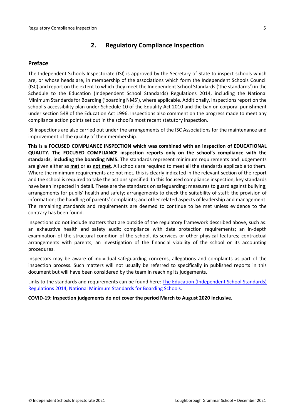## <span id="page-4-0"></span>**2. Regulatory Compliance Inspection**

### <span id="page-4-1"></span>**Preface**

The Independent Schools Inspectorate (ISI) is approved by the Secretary of State to inspect schools which are, or whose heads are, in membership of the associations which form the Independent Schools Council (ISC) and report on the extent to which they meet the Independent School Standards ('the standards') in the Schedule to the Education (Independent School Standards) Regulations 2014, including the National Minimum Standards for Boarding ('boarding NMS'), where applicable. Additionally, inspections report on the school's accessibility plan under Schedule 10 of the Equality Act 2010 and the ban on corporal punishment under section 548 of the Education Act 1996. Inspections also comment on the progress made to meet any compliance action points set out in the school's most recent statutory inspection.

ISI inspections are also carried out under the arrangements of the ISC Associations for the maintenance and improvement of the quality of their membership.

**This is a FOCUSED COMPLIANCE INSPECTION which was combined with an inspection of EDUCATIONAL QUALITY. The FOCUSED COMPLIANCE inspection reports only on the school's compliance with the standards**, **including the boarding NMS.** The standards represent minimum requirements and judgements are given either as **met** or as **not met**. All schools are required to meet all the standards applicable to them. Where the minimum requirements are not met, this is clearly indicated in the relevant section of the report and the school is required to take the actions specified. In this focused compliance inspection, key standards have been inspected in detail. These are the standards on safeguarding; measures to guard against bullying; arrangements for pupils' health and safety; arrangements to check the suitability of staff; the provision of information; the handling of parents' complaints; and other related aspects of leadership and management. The remaining standards and requirements are deemed to continue to be met unless evidence to the contrary has been found.

Inspections do not include matters that are outside of the regulatory framework described above, such as: an exhaustive health and safety audit; compliance with data protection requirements; an in-depth examination of the structural condition of the school, its services or other physical features; contractual arrangements with parents; an investigation of the financial viability of the school or its accounting procedures.

Inspectors may be aware of individual safeguarding concerns, allegations and complaints as part of the inspection process. Such matters will not usually be referred to specifically in published reports in this document but will have been considered by the team in reaching its judgements.

Links to the standards and requirements can be found here: The Education [\(Independent](http://www.legislation.gov.uk/uksi/2014/3283/contents/made) School Standards) [Regulations](http://www.legislation.gov.uk/uksi/2014/3283/contents/made) 2014, National Minimum [Standards](https://www.gov.uk/government/uploads/system/uploads/attachment_data/file/416186/20150319_nms_bs_standards.pdf) for Boarding Schools.

**COVID-19: Inspection judgements do not cover the period March to August 2020 inclusive.**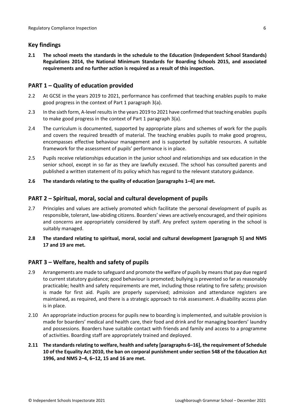## <span id="page-5-0"></span>**Key findings**

**2.1 The school meets the standards in the schedule to the Education (Independent School Standards) Regulations 2014, the National Minimum Standards for Boarding Schools 2015, and associated requirements and no further action is required as a result of this inspection.**

## <span id="page-5-1"></span>**PART 1 – Quality of education provided**

- 2.2 At GCSE in the years 2019 to 2021, performance has confirmed that teaching enables pupils to make good progress in the context of Part 1 paragraph 3(a).
- 2.3 In the sixth form, A-level results in the years 2019 to 2021 have confirmed that teaching enables pupils to make good progress in the context of Part 1 paragraph 3(a).
- 2.4 The curriculum is documented, supported by appropriate plans and schemes of work for the pupils and covers the required breadth of material. The teaching enables pupils to make good progress, encompasses effective behaviour management and is supported by suitable resources. A suitable framework for the assessment of pupils' performance is in place.
- 2.5 Pupils receive relationships education in the junior school and relationships and sex education in the senior school, except in so far as they are lawfully excused. The school has consulted parents and published a written statement of its policy which has regard to the relevant statutory guidance.
- **2.6 The standards relating to the quality of education [paragraphs 1–4] are met.**

## <span id="page-5-2"></span>**PART 2 – Spiritual, moral, social and cultural development of pupils**

- 2.7 Principles and values are actively promoted which facilitate the personal development of pupils as responsible, tolerant, law-abiding citizens. Boarders' views are actively encouraged, and their opinions and concerns are appropriately considered by staff. Any prefect system operating in the school is suitably managed.
- **2.8 The standard relating to spiritual, moral, social and cultural development [paragraph 5] and NMS 17 and 19 are met.**

## <span id="page-5-3"></span>**PART 3 – Welfare, health and safety of pupils**

- 2.9 Arrangements are made to safeguard and promote the welfare of pupils by means that pay due regard to current statutory guidance; good behaviour is promoted; bullying is prevented so far as reasonably practicable; health and safety requirements are met, including those relating to fire safety; provision is made for first aid. Pupils are properly supervised; admission and attendance registers are maintained, as required, and there is a strategic approach to risk assessment. A disability access plan is in place.
- 2.10 An appropriate induction process for pupils new to boarding is implemented, and suitable provision is made for boarders' medical and health care, their food and drink and for managing boarders' laundry and possessions. Boarders have suitable contact with friends and family and access to a programme of activities. Boarding staff are appropriately trained and deployed.
- **2.11 The standardsrelating to welfare, health and safety [paragraphs 6–16], the requirement of Schedule 10 of the Equality Act 2010, the ban on corporal punishment under section 548 of the Education Act 1996, and NMS 2–4, 6–12, 15 and 16 are met.**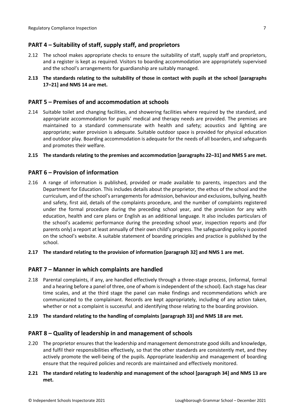## <span id="page-6-0"></span>**PART 4 – Suitability of staff, supply staff, and proprietors**

- 2.12 The school makes appropriate checks to ensure the suitability of staff, supply staff and proprietors, and a register is kept as required. Visitors to boarding accommodation are appropriately supervised and the school's arrangements for guardianship are suitably managed.
- **2.13 The standards relating to the suitability of those in contact with pupils at the school [paragraphs 17–21] and NMS 14 are met.**

#### <span id="page-6-1"></span>**PART 5 – Premises of and accommodation at schools**

2.14 Suitable toilet and changing facilities, and showering facilities where required by the standard, and appropriate accommodation for pupils' medical and therapy needs are provided. The premises are maintained to a standard commensurate with health and safety; acoustics and lighting are appropriate; water provision is adequate. Suitable outdoor space is provided for physical education and outdoor play. Boarding accommodation is adequate for the needs of all boarders, and safeguards and promotes their welfare.

#### **2.15 The standardsrelating to the premises and accommodation [paragraphs 22–31] and NMS 5 are met.**

#### <span id="page-6-2"></span>**PART 6 – Provision of information**

- 2.16 A range of information is published, provided or made available to parents, inspectors and the Department for Education. This includes details about the proprietor, the ethos of the school and the curriculum, and of the school's arrangementsfor admission, behaviour and exclusions, bullying, health and safety, first aid, details of the complaints procedure, and the number of complaints registered under the formal procedure during the preceding school year, and the provision for any with education, health and care plans or English as an additional language. It also includes particulars of the school's academic performance during the preceding school year, inspection reports and (for parents only) a report at least annually of their own child's progress. The safeguarding policy is posted on the school's website. A suitable statement of boarding principles and practice is published by the school.
- **2.17 The standard relating to the provision of information [paragraph 32] and NMS 1 are met.**

#### <span id="page-6-3"></span>**PART 7 – Manner in which complaints are handled**

- 2.18 Parental complaints, if any, are handled effectively through a three-stage process, (informal, formal and a hearing before a panel of three, one of whom is independent of the school). Each stage has clear time scales, and at the third stage the panel can make findings and recommendations which are communicated to the complainant. Records are kept appropriately, including of any action taken, whether or not a complaint is successful, and identifying those relating to the boarding provision.
- **2.19 The standard relating to the handling of complaints [paragraph 33] and NMS 18 are met.**

#### <span id="page-6-4"></span>**PART 8 – Quality of leadership in and management of schools**

- 2.20 The proprietor ensures that the leadership and management demonstrate good skills and knowledge, and fulfil their responsibilities effectively, so that the other standards are consistently met, and they actively promote the well-being of the pupils. Appropriate leadership and management of boarding ensure that the required policies and records are maintained and effectively monitored.
- **2.21 The standard relating to leadership and management of the school [paragraph 34] and NMS 13 are met.**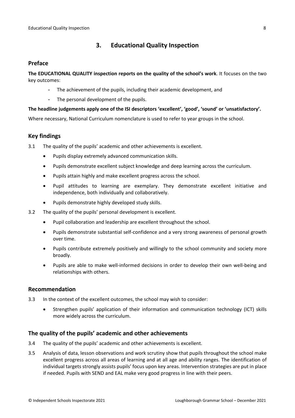## <span id="page-7-0"></span>**3. Educational Quality Inspection**

#### <span id="page-7-1"></span>**Preface**

**The EDUCATIONAL QUALITY inspection reports on the quality of the school's work**. It focuses on the two key outcomes:

- The achievement of the pupils, including their academic development, and
- The personal development of the pupils.

#### **The headline judgements apply one of the ISI descriptors 'excellent', 'good', 'sound' or 'unsatisfactory'.**

Where necessary, National Curriculum nomenclature is used to refer to year groups in the school.

## <span id="page-7-2"></span>**Key findings**

3.1 The quality of the pupils' academic and other achievements is excellent.

- Pupils display extremely advanced communication skills.
- Pupils demonstrate excellent subject knowledge and deep learning across the curriculum.
- Pupils attain highly and make excellent progress across the school.
- Pupil attitudes to learning are exemplary. They demonstrate excellent initiative and independence, both individually and collaboratively.
- Pupils demonstrate highly developed study skills.
- 3.2 The quality of the pupils' personal development is excellent.
	- Pupil collaboration and leadership are excellent throughout the school.
	- Pupils demonstrate substantial self-confidence and a very strong awareness of personal growth over time.
	- Pupils contribute extremely positively and willingly to the school community and society more broadly.
	- Pupils are able to make well-informed decisions in order to develop their own well-being and relationships with others.

#### <span id="page-7-3"></span>**Recommendation**

- 3.3 In the context of the excellent outcomes, the school may wish to consider:
	- Strengthen pupils' application of their information and communication technology (ICT) skills more widely across the curriculum.

#### <span id="page-7-4"></span>**The quality of the pupils' academic and other achievements**

- 3.4 The quality of the pupils' academic and other achievements is excellent.
- 3.5 Analysis of data, lesson observations and work scrutiny show that pupils throughout the school make excellent progress across all areas of learning and at all age and ability ranges. The identification of individual targets strongly assists pupils' focus upon key areas. Intervention strategies are put in place if needed. Pupils with SEND and EAL make very good progress in line with their peers.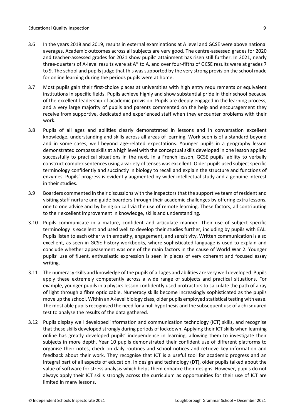- 3.6 In the years 2018 and 2019, results in external examinations at A level and GCSE were above national averages. Academic outcomes across all subjects are very good. The centre-assessed grades for 2020 and teacher-assessed grades for 2021 show pupils' attainment has risen still further. In 2021, nearly three-quarters of A-level results were at A\* to A, and over four-fifths of GCSE results were at grades 7 to 9. The school and pupils judge that this was supported by the very strong provision the school made for online learning during the periods pupils were at home.
- 3.7 Most pupils gain their first-choice places at universities with high entry requirements or equivalent institutions in specific fields. Pupils achieve highly and show substantial pride in their school because of the excellent leadership of academic provision. Pupils are deeply engaged in the learning process, and a very large majority of pupils and parents commented on the help and encouragement they receive from supportive, dedicated and experienced staff when they encounter problems with their work.
- 3.8 Pupils of all ages and abilities clearly demonstrated in lessons and in conversation excellent knowledge, understanding and skills across all areas of learning. Work seen is of a standard beyond and in some cases, well beyond age-related expectations. Younger pupils in a geography lesson demonstrated compass skills at a high level with the conceptual skills developed in one lesson applied successfully to practical situations in the next. In a French lesson, GCSE pupils' ability to verbally construct complex sentences using a variety of tenses was excellent. Older pupils used subject specific terminology confidently and succinctly in biology to recall and explain the structure and functions of enzymes. Pupils' progress is evidently augmented by wider intellectual study and a genuine interest in their studies.
- 3.9 Boarders commented in their discussions with the inspectorsthat the supportive team of resident and visiting staff nurture and guide boarders through their academic challenges by offering extra lessons, one to one advice and by being on call via the use of remote learning. These factors, all contributing to their excellent improvement in knowledge, skills and understanding.
- 3.10 Pupils communicate in a mature, confident and articulate manner. Their use of subject specific terminology is excellent and used well to develop their studies further, including by pupils with EAL. Pupils listen to each other with empathy, engagement, and sensitivity. Written communication is also excellent, as seen in GCSE history workbooks, where sophisticated language is used to explain and conclude whether appeasement was one of the main factors in the cause of World War 2. Younger pupils' use of fluent, enthusiastic expression is seen in pieces of very coherent and focused essay writing.
- 3.11 The numeracy skills and knowledge of the pupils of all ages and abilities are very well developed. Pupils apply these extremely competently across a wide range of subjects and practical situations. For example, younger pupils in a physics lesson confidently used protractors to calculate the path of a ray of light through a fibre optic cable. Numeracy skills become increasingly sophisticated as the pupils move up the school. Within an A-level biology class, older pupils employed statistical testing with ease. The most able pupils recognised the need for a null hypothesis and the subsequent use of a chi squared test to analyse the results of the data gathered.
- 3.12 Pupils display well developed information and communication technology (ICT) skills, and recognise that these skills developed strongly during periods of lockdown. Applying their ICT skills when learning online has greatly developed pupils' independence in learning, allowing them to investigate their subjects in more depth. Year 10 pupils demonstrated their confident use of different platforms to organise their notes, check on daily routines and school notices and retrieve key information and feedback about their work. They recognise that ICT is a useful tool for academic progress and an integral part of all aspects of education. In design and technology (DT), older pupils talked about the value of software for stress analysis which helps them enhance their designs. However, pupils do not always apply their ICT skills strongly across the curriculum as opportunities for their use of ICT are limited in many lessons.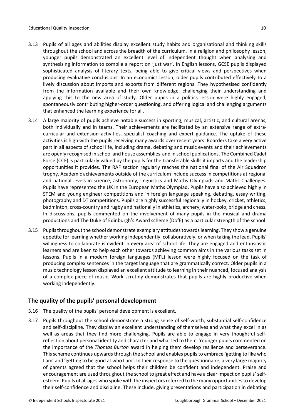- 3.13 Pupils of all ages and abilities display excellent study habits and organisational and thinking skills throughout the school and across the breadth of the curriculum. In a religion and philosophy lesson, younger pupils demonstrated an excellent level of independent thought when analysing and synthesising information to compile a report on 'just war'. In English lessons, GCSE pupils displayed sophisticated analysis of literary texts, being able to give critical views and perspectives when producing evaluative conclusions. In an economics lesson, older pupils contributed effectively to a lively discussion about imports and exports from different regions. They hypothesised confidently from the information available and their own knowledge, challenging their understanding and applying this to the new area of study. Older pupils in a politics lesson were highly engaged, spontaneously contributing higher-order questioning, and offering logical and challenging arguments that enhanced the learning experience for all.
- 3.14 A large majority of pupils achieve notable success in sporting, musical, artistic, and cultural arenas, both individually and in teams. Their achievements are facilitated by an extensive range of extracurricular and extension activities, specialist coaching and expert guidance. The uptake of these activities is high with the pupils receiving many awards over recent years. Boarders take a very active part in all aspects of school life, including drama, debating and music events and their achievements are openly recognised in school and house assemblies and in school publications. The Combined Cadet Force (CCF) is particularly valued by the pupils for the transferable skills it imparts and the leadership opportunities it provides. The RAF section regularly reaches the national final of the Air Squadron trophy. Academic achievements outside of the curriculum include success in competitions at regional and national levels in science, astronomy, linguistics and Maths Olympiads and Maths Challenges. Pupils have represented the UK in the European Maths Olympiad. Pupils have also achieved highly in STEM and young engineer competitions and in foreign language speaking, debating, essay writing, photography and DT competitions. Pupils are highly successful regionally in hockey, cricket, athletics, badminton, cross-country and rugby and nationally in athletics, archery, water-polo, bridge and chess. In discussions, pupils commented on the involvement of many pupils in the musical and drama productions and The Duke of Edinburgh's Award scheme (DofE) as a particular strength of the school.
- 3.15 Pupils throughout the school demonstrate exemplary attitudes towards learning. They show a genuine appetite for learning whether working independently, collaboratively, or when taking the lead. Pupils' willingness to collaborate is evident in every area of school life. They are engaged and enthusiastic learners and are keen to help each other towards achieving common aims in the various tasks set in lessons. Pupils in a modern foreign languages (MFL) lesson were highly focused on the task of producing complex sentences in the target language that are grammatically correct. Older pupils in a music technology lesson displayed an excellent attitude to learning in their nuanced, focused analysis of a complex piece of music. Work scrutiny demonstrates that pupils are highly productive when working independently.

## <span id="page-9-0"></span>**The quality of the pupils' personal development**

- 3.16 The quality of the pupils' personal development is excellent.
- 3.17 Pupils throughout the school demonstrate a strong sense of self-worth, substantial self-confidence and self-discipline. They display an excellent understanding of themselves and what they excel in as well as areas that they find more challenging. Pupils are able to engage in very thoughtful selfreflection about personal identity and character and what led to them. Younger pupils commented on the importance of the *Thomas Burton* award in helping them develop resilience and perseverance. This scheme continues upwards through the school and enables pupils to embrace 'getting to like who I am' and 'getting to be good at who I am'. In their response to the questionnaire, a very large majority of parents agreed that the school helps their children be confident and independent. Praise and encouragement are used throughout the school to great effect and have a clear impact on pupils' selfesteem. Pupils of all ages who spoke with the inspectors referred to the many opportunities to develop their self-confidence and discipline. These include, giving presentations and participation in debating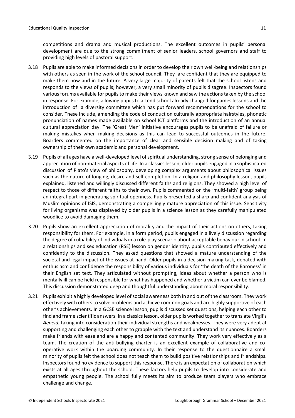competitions and drama and musical productions. The excellent outcomes in pupils' personal development are due to the strong commitment of senior leaders, school governors and staff to providing high levels of pastoral support.

- 3.18 Pupils are able to make informed decisions in order to develop their own well-being and relationships with others as seen in the work of the school council. They are confident that they are equipped to make them now and in the future. A very large majority of parents felt that the school listens and responds to the views of pupils; however, a very small minority of pupils disagree. Inspectors found various forums available for pupils to make their views known and saw the actions taken by the school in response. For example, allowing pupils to attend school already changed for games lessons and the introduction of a diversity committee which has put forward recommendations for the school to consider. These include, amending the code of conduct on culturally appropriate hairstyles, phonetic pronunciation of names made available on school ICT platforms and the introduction of an annual cultural appreciation day. The 'Great Men' initiative encourages pupils to be unafraid of failure or making mistakes when making decisions as this can lead to successful outcomes in the future. Boarders commented on the importance of clear and sensible decision making and of taking ownership of their own academic and personal development.
- 3.19 Pupils of all ages have a well-developed level of spiritual understanding, strong sense of belonging and appreciation of non-material aspects of life. In a classicslesson, older pupils engaged in a sophisticated discussion of Plato's view of philosophy, developing complex arguments about philosophical issues such as the nature of longing, desire and self-completion. In a religion and philosophy lesson, pupils explained, listened and willingly discussed different faiths and religions. They showed a high level of respect to those of different faiths to their own. Pupils commented on the 'multi-faith' group being an integral part in generating spiritual openness. Pupils presented a sharp and confident analysis of Muslim opinions of ISIS, demonstrating a compellingly mature appreciation of this issue. Sensitivity for living organisms was displayed by older pupils in a science lesson as they carefully manipulated woodlice to avoid damaging them.
- 3.20 Pupils show an excellent appreciation of morality and the impact of their actions on others, taking responsibility for them. For example, in a form period, pupils engaged in a lively discussion regarding the degree of culpability of individuals in a role-play scenario about acceptable behaviour in school. In a relationships and sex education (RSE) lesson on gender identity, pupils contributed effectively and confidently to the discussion. They asked questions that showed a mature understanding of the societal and legal impact of the issues at hand. Older pupils in a decision-making task, debated with enthusiasm and confidence the responsibility of various individuals for 'the death of the Baroness' in their English set text. They articulated without prompting, ideas about whether a person who is mentally ill can be held responsible for what has happened and whether a victim can ever be blamed. This discussion demonstrated deep and thoughtful understanding about moral responsibility.
- 3.21 Pupils exhibit a highly developed level of social awareness both in and out of the classroom. They work effectively with others to solve problems and achieve common goals and are highly supportive of each other's achievements. In a GCSE science lesson, pupils discussed set questions, helping each other to find and frame scientific answers. In a classics lesson, older pupils worked together to translate Virgil's *Aeneid*, taking into consideration their individual strengths and weaknesses. They were very adept at supporting and challenging each other to grapple with the text and understand its nuances. Boarders make friends with ease and are a happy and contented community. They work very effectively as a team. The creation of the anti-bullying charter is an excellent example of collaborative and cooperative work within the boarding community. In their response to the questionnaire a small minority of pupils felt the school does not teach them to build positive relationships and friendships. Inspectors found no evidence to support this response. There is an expectation of collaboration which exists at all ages throughout the school. These factors help pupils to develop into considerate and empathetic young people. The school fully meets its aim to produce team players who embrace challenge and change.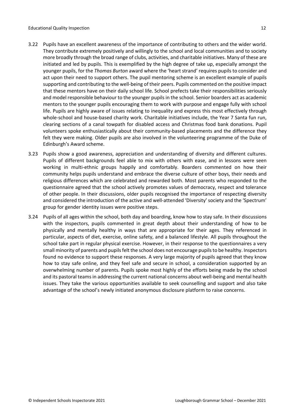- 3.22 Pupils have an excellent awareness of the importance of contributing to others and the wider world. They contribute extremely positively and willingly to the school and local communities and to society more broadly through the broad range of clubs, activities, and charitable initiatives. Many of these are initiated and led by pupils. This is exemplified by the high degree of take up, especially amongst the younger pupils, for the *Thomas Burton* award where the 'heart strand' requires pupils to consider and act upon their need to support others. The pupil mentoring scheme is an excellent example of pupils supporting and contributing to the well-being of their peers. Pupils commented on the positive impact that these mentors have on their daily school life. School prefects take their responsibilities seriously and model responsible behaviour to the younger pupils in the school. Senior boarders act as academic mentors to the younger pupils encouraging them to work with purpose and engage fully with school life. Pupils are highly aware of issues relating to inequality and express this most effectively through whole-school and house-based charity work. Charitable initiatives include, the Year 7 Santa fun run, clearing sections of a canal towpath for disabled access and Christmas food bank donations. Pupil volunteers spoke enthusiastically about their community-based placements and the difference they felt they were making. Older pupils are also involved in the volunteering programme of the Duke of Edinburgh's Award scheme.
- 3.23 Pupils show a good awareness, appreciation and understanding of diversity and different cultures. Pupils of different backgrounds feel able to mix with others with ease, and in lessons were seen working in multi-ethnic groups happily and comfortably. Boarders commented on how their community helps pupils understand and embrace the diverse culture of other boys, their needs and religious differences which are celebrated and rewarded both. Most parents who responded to the questionnaire agreed that the school actively promotes values of democracy, respect and tolerance of other people. In their discussions, older pupils recognised the importance of respecting diversity and considered the introduction of the active and well-attended 'Diversity' society and the 'Spectrum' group for gender identity issues were positive steps.
- 3.24 Pupils of all ages within the school, both day and boarding, know how to stay safe. In their discussions with the inspectors, pupils commented in great depth about their understanding of how to be physically and mentally healthy in ways that are appropriate for their ages. They referenced in particular, aspects of diet, exercise, online safety, and a balanced lifestyle. All pupils throughout the school take part in regular physical exercise. However, in their response to the questionnaires a very small minority of parents and pupils felt the school does not encourage pupils to be healthy. Inspectors found no evidence to support these responses. A very large majority of pupils agreed that they know how to stay safe online, and they feel safe and secure in school, a consideration supported by an overwhelming number of parents. Pupils spoke most highly of the efforts being made by the school and its pastoral teamsin addressing the current national concerns about well-being and mental health issues. They take the various opportunities available to seek counselling and support and also take advantage of the school's newly initiated anonymous disclosure platform to raise concerns.